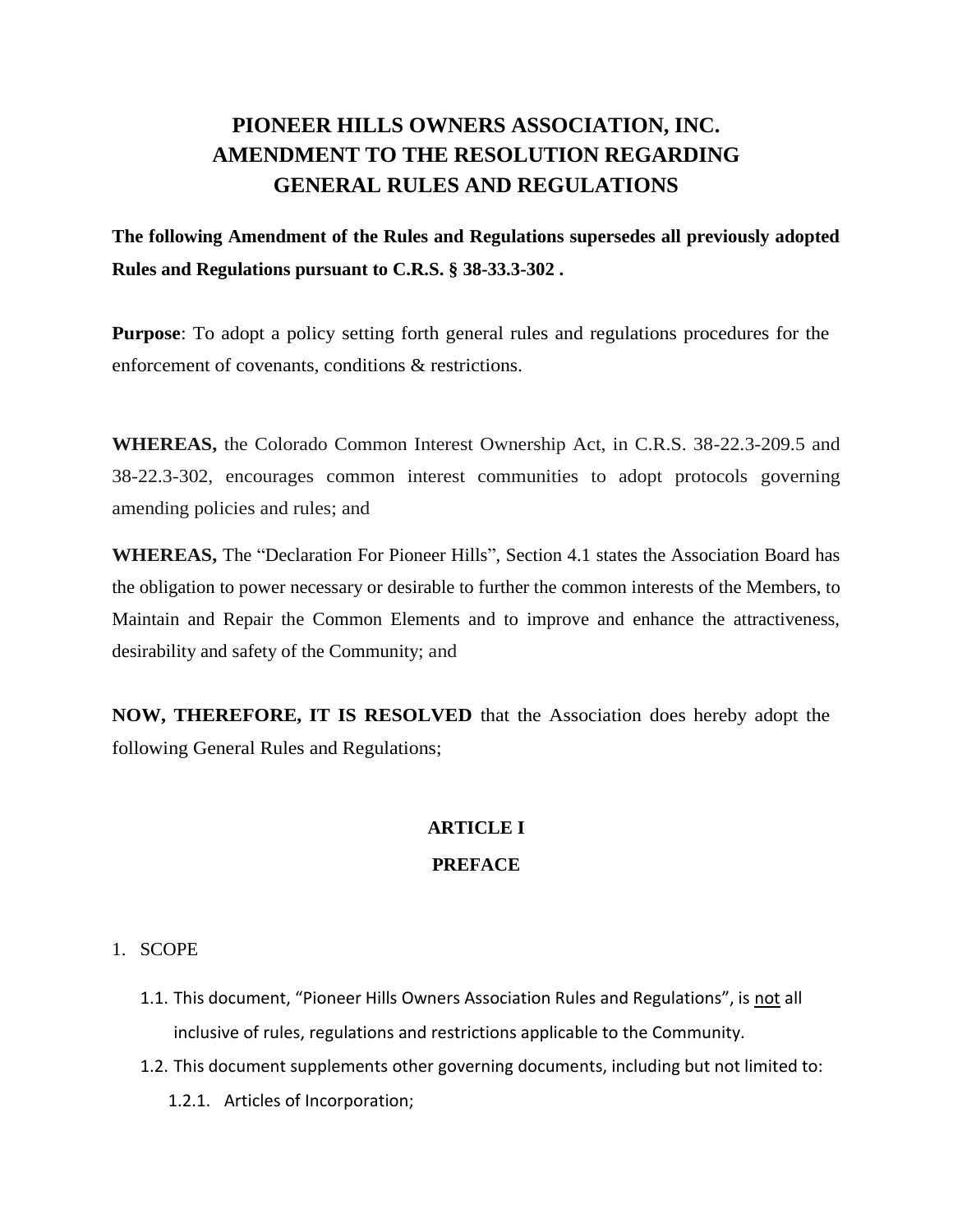# **PIONEER HILLS OWNERS ASSOCIATION, INC. AMENDMENT TO THE RESOLUTION REGARDING GENERAL RULES AND REGULATIONS**

**The following Amendment of the Rules and Regulations supersedes all previously adopted Rules and Regulations pursuant to C.R.S. § 38-33.3-302 .**

**Purpose**: To adopt a policy setting forth general rules and regulations procedures for the enforcement of covenants, conditions & restrictions.

**WHEREAS,** the Colorado Common Interest Ownership Act, in C.R.S. 38-22.3-209.5 and 38-22.3-302, encourages common interest communities to adopt protocols governing amending policies and rules; and

**WHEREAS,** The "Declaration For Pioneer Hills", Section 4.1 states the Association Board has the obligation to power necessary or desirable to further the common interests of the Members, to Maintain and Repair the Common Elements and to improve and enhance the attractiveness, desirability and safety of the Community; and

**NOW, THEREFORE, IT IS RESOLVED** that the Association does hereby adopt the following General Rules and Regulations;

# **ARTICLE I**

# **PREFACE**

#### 1. SCOPE

- 1.1. This document, "Pioneer Hills Owners Association Rules and Regulations", is not all inclusive of rules, regulations and restrictions applicable to the Community.
- 1.2. This document supplements other governing documents, including but not limited to:
	- 1.2.1. Articles of Incorporation;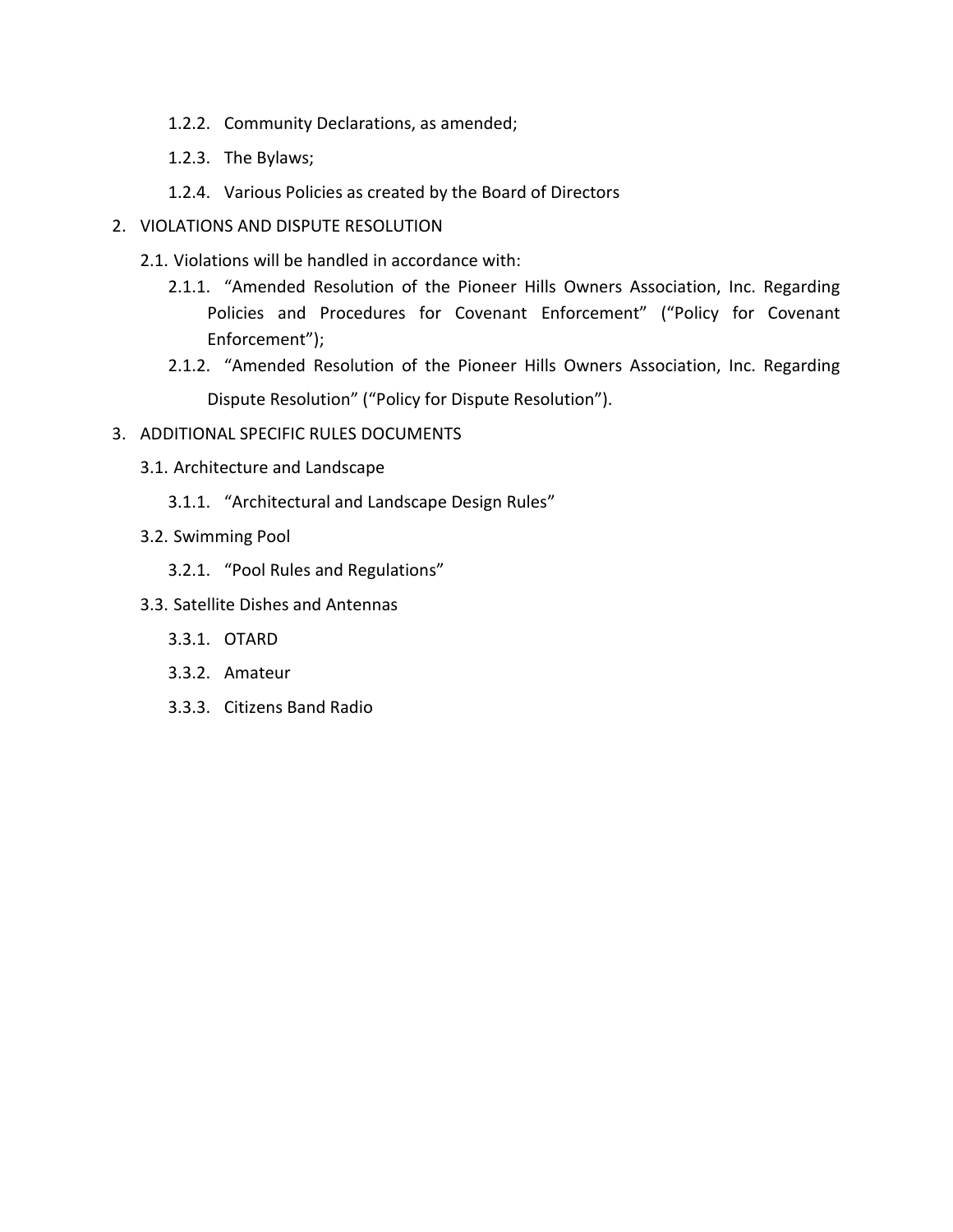- 1.2.2. Community Declarations, as amended;
- 1.2.3. The Bylaws;
- 1.2.4. Various Policies as created by the Board of Directors
- 2. VIOLATIONS AND DISPUTE RESOLUTION
	- 2.1. Violations will be handled in accordance with:
		- 2.1.1. "Amended Resolution of the Pioneer Hills Owners Association, Inc. Regarding Policies and Procedures for Covenant Enforcement" ("Policy for Covenant Enforcement");
		- 2.1.2. "Amended Resolution of the Pioneer Hills Owners Association, Inc. Regarding Dispute Resolution" ("Policy for Dispute Resolution").
- 3. ADDITIONAL SPECIFIC RULES DOCUMENTS
	- 3.1. Architecture and Landscape
		- 3.1.1. "Architectural and Landscape Design Rules"
	- 3.2. Swimming Pool
		- 3.2.1. "Pool Rules and Regulations"
	- 3.3. Satellite Dishes and Antennas
		- 3.3.1. OTARD
		- 3.3.2. Amateur
		- 3.3.3. Citizens Band Radio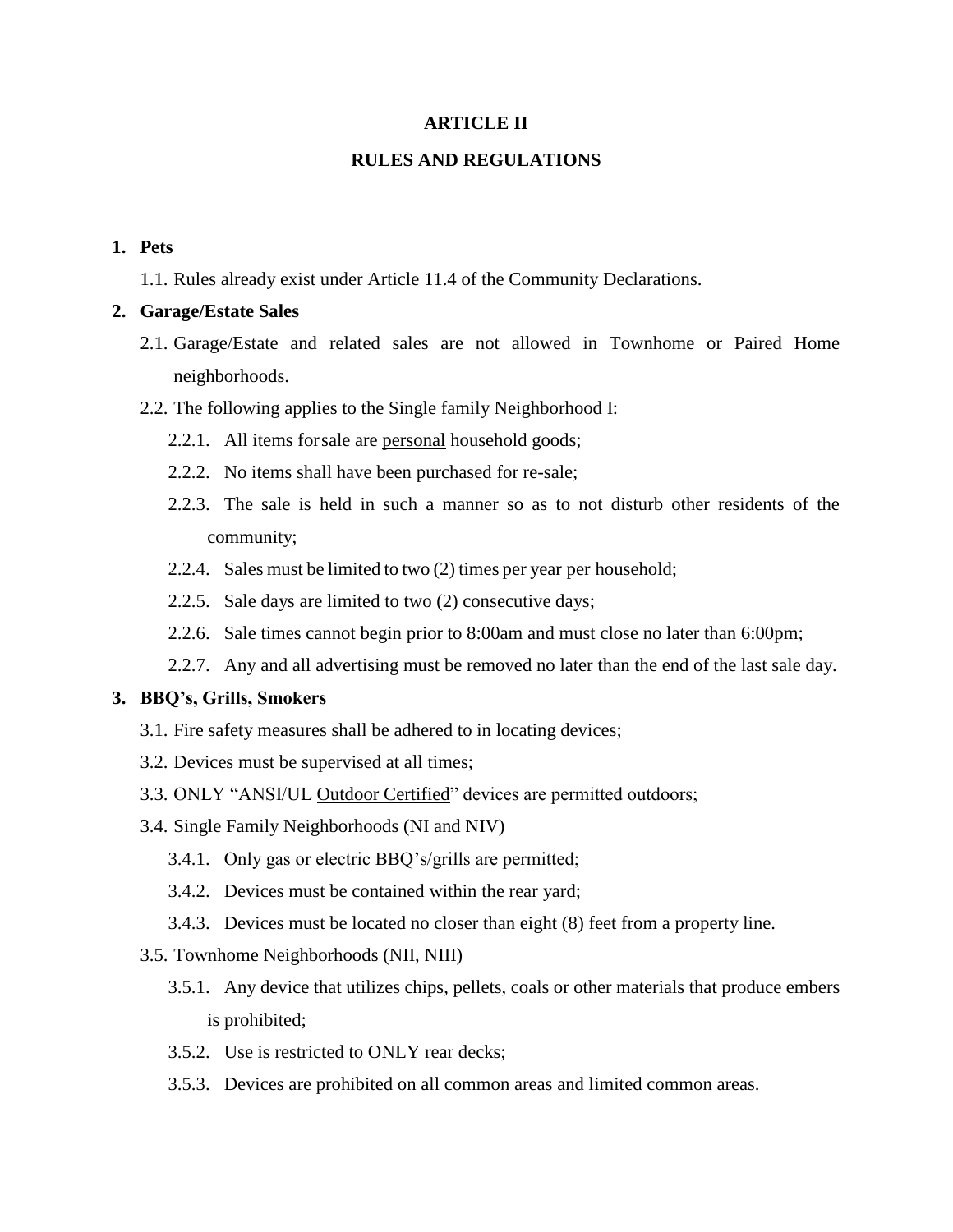#### **ARTICLE II**

#### **RULES AND REGULATIONS**

## **1. Pets**

1.1. Rules already exist under Article 11.4 of the Community Declarations.

#### **2. Garage/Estate Sales**

- 2.1. Garage/Estate and related sales are not allowed in Townhome or Paired Home neighborhoods.
- 2.2. The following applies to the Single family Neighborhood I:
	- 2.2.1. All items forsale are personal household goods;
	- 2.2.2. No items shall have been purchased for re-sale;
	- 2.2.3. The sale is held in such a manner so as to not disturb other residents of the community;
	- 2.2.4. Sales must be limited to two (2) times per year per household;
	- 2.2.5. Sale days are limited to two (2) consecutive days;
	- 2.2.6. Sale times cannot begin prior to 8:00am and must close no later than 6:00pm;
	- 2.2.7. Any and all advertising must be removed no later than the end of the last sale day.

#### **3. BBQ's, Grills, Smokers**

- 3.1. Fire safety measures shall be adhered to in locating devices;
- 3.2. Devices must be supervised at all times;
- 3.3. ONLY "ANSI/UL Outdoor Certified" devices are permitted outdoors;
- 3.4. Single Family Neighborhoods (NI and NIV)
	- 3.4.1. Only gas or electric BBQ's/grills are permitted;
	- 3.4.2. Devices must be contained within the rear yard;
	- 3.4.3. Devices must be located no closer than eight (8) feet from a property line.
- 3.5. Townhome Neighborhoods (NII, NIII)
	- 3.5.1. Any device that utilizes chips, pellets, coals or other materials that produce embers is prohibited;
	- 3.5.2. Use is restricted to ONLY rear decks;
	- 3.5.3. Devices are prohibited on all common areas and limited common areas.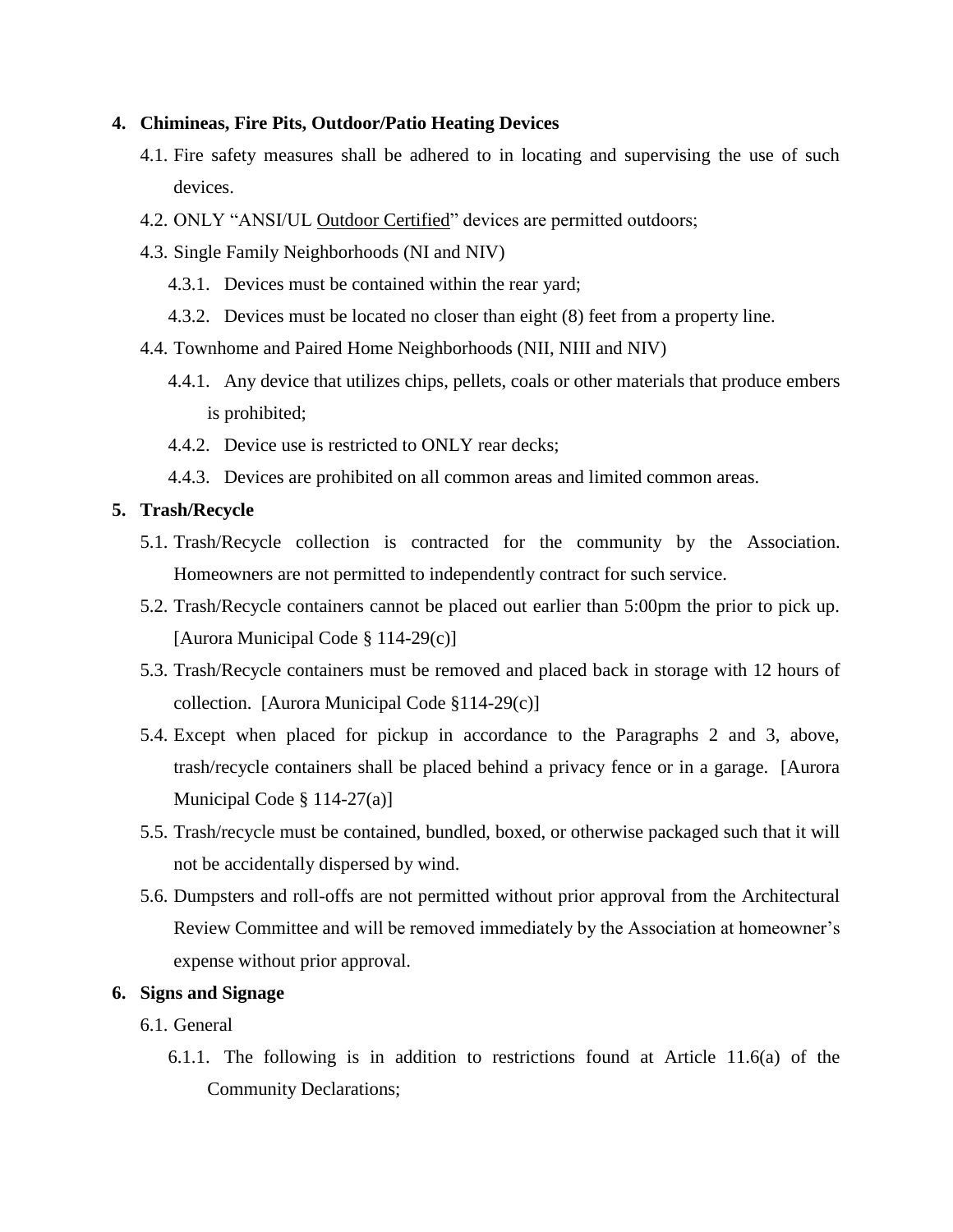#### **4. Chimineas, Fire Pits, Outdoor/Patio Heating Devices**

- 4.1. Fire safety measures shall be adhered to in locating and supervising the use of such devices.
- 4.2. ONLY "ANSI/UL Outdoor Certified" devices are permitted outdoors;
- 4.3. Single Family Neighborhoods (NI and NIV)
	- 4.3.1. Devices must be contained within the rear yard;
	- 4.3.2. Devices must be located no closer than eight (8) feet from a property line.
- 4.4. Townhome and Paired Home Neighborhoods (NII, NIII and NIV)
	- 4.4.1. Any device that utilizes chips, pellets, coals or other materials that produce embers is prohibited;
	- 4.4.2. Device use is restricted to ONLY rear decks;
	- 4.4.3. Devices are prohibited on all common areas and limited common areas.

#### **5. Trash/Recycle**

- 5.1. Trash/Recycle collection is contracted for the community by the Association. Homeowners are not permitted to independently contract for such service.
- 5.2. Trash/Recycle containers cannot be placed out earlier than 5:00pm the prior to pick up. [Aurora Municipal Code § 114-29(c)]
- 5.3. Trash/Recycle containers must be removed and placed back in storage with 12 hours of collection. [Aurora Municipal Code §114-29(c)]
- 5.4. Except when placed for pickup in accordance to the Paragraphs 2 and 3, above, trash/recycle containers shall be placed behind a privacy fence or in a garage. [Aurora Municipal Code § 114-27(a)]
- 5.5. Trash/recycle must be contained, bundled, boxed, or otherwise packaged such that it will not be accidentally dispersed by wind.
- 5.6. Dumpsters and roll-offs are not permitted without prior approval from the Architectural Review Committee and will be removed immediately by the Association at homeowner's expense without prior approval.

# **6. Signs and Signage**

#### 6.1. General

6.1.1. The following is in addition to restrictions found at Article 11.6(a) of the Community Declarations;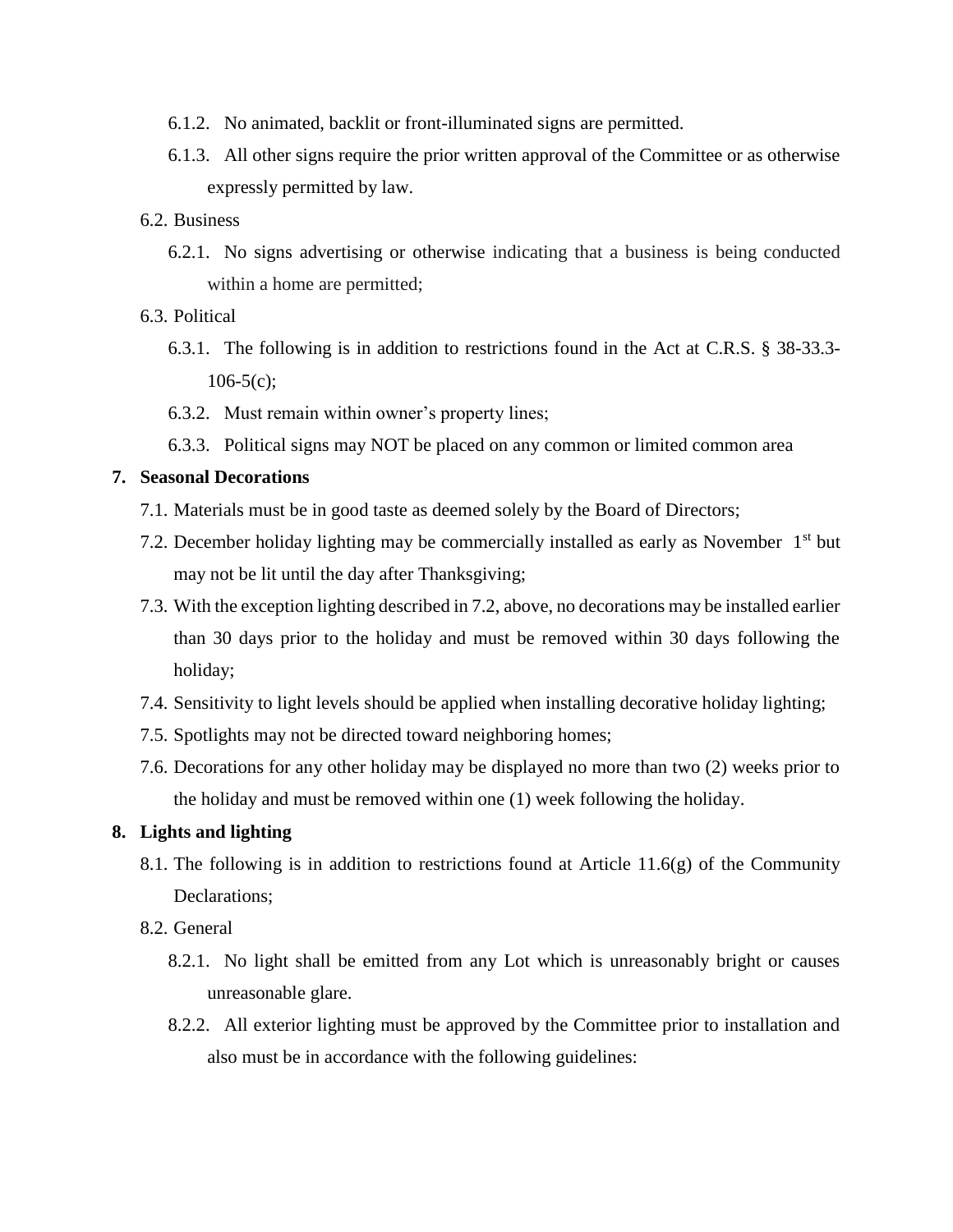- 6.1.2. No animated, backlit or front-illuminated signs are permitted.
- 6.1.3. All other signs require the prior written approval of the Committee or as otherwise expressly permitted by law.

#### 6.2. Business

6.2.1. No signs advertising or otherwise indicating that a business is being conducted within a home are permitted;

## 6.3. Political

- 6.3.1. The following is in addition to restrictions found in the Act at C.R.S. § 38-33.3-  $106-5(c)$ ;
- 6.3.2. Must remain within owner's property lines;
- 6.3.3. Political signs may NOT be placed on any common or limited common area

#### **7. Seasonal Decorations**

- 7.1. Materials must be in good taste as deemed solely by the Board of Directors;
- 7.2. December holiday lighting may be commercially installed as early as November  $1<sup>st</sup>$  but may not be lit until the day after Thanksgiving;
- 7.3. With the exception lighting described in 7.2, above, no decorations may be installed earlier than 30 days prior to the holiday and must be removed within 30 days following the holiday;
- 7.4. Sensitivity to light levels should be applied when installing decorative holiday lighting;
- 7.5. Spotlights may not be directed toward neighboring homes;
- 7.6. Decorations for any other holiday may be displayed no more than two (2) weeks prior to the holiday and must be removed within one (1) week following the holiday.

## **8. Lights and lighting**

- 8.1. The following is in addition to restrictions found at Article 11.6(g) of the Community Declarations;
- 8.2. General
	- 8.2.1. No light shall be emitted from any Lot which is unreasonably bright or causes unreasonable glare.
	- 8.2.2. All exterior lighting must be approved by the Committee prior to installation and also must be in accordance with the following guidelines: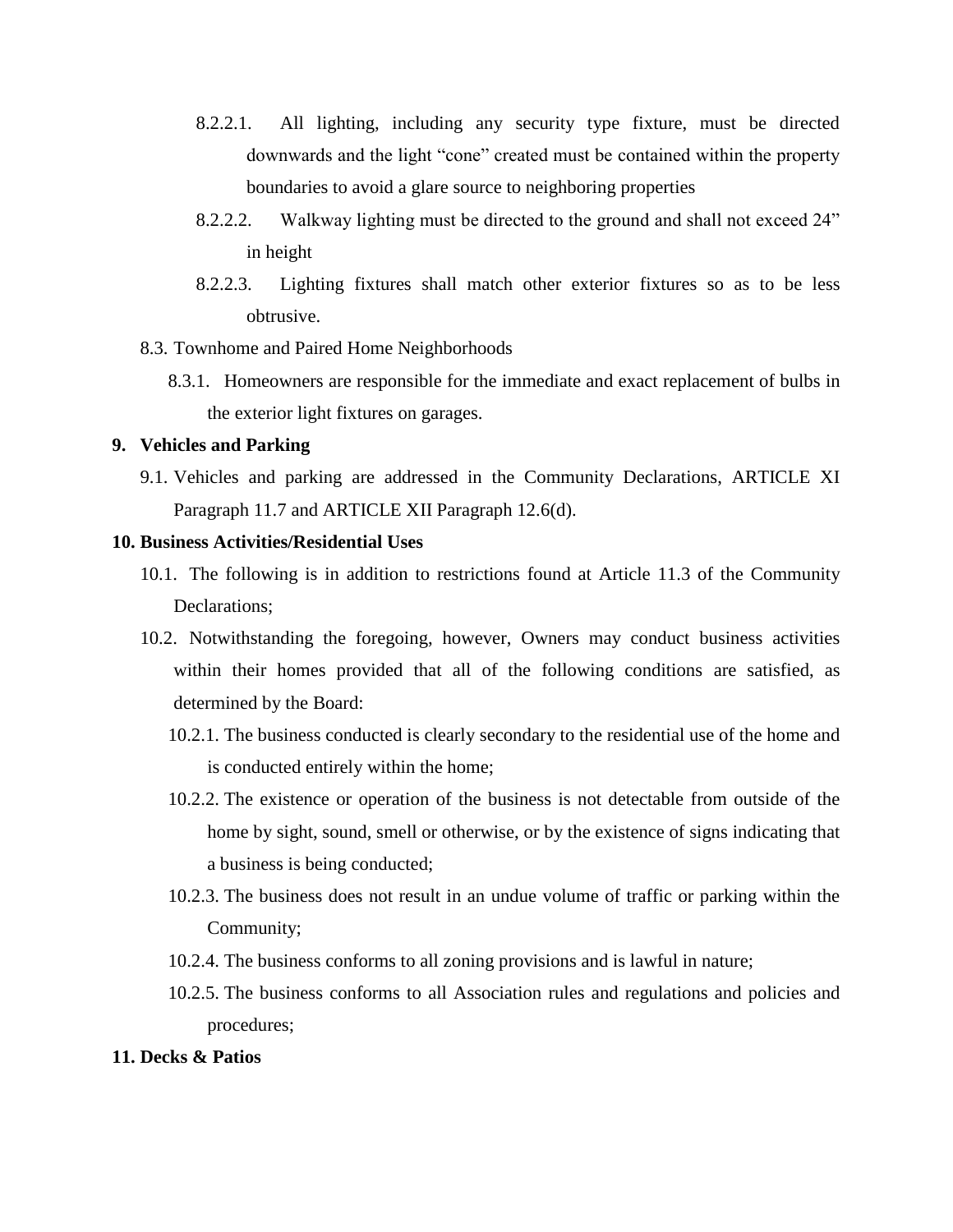- 8.2.2.1. All lighting, including any security type fixture, must be directed downwards and the light "cone" created must be contained within the property boundaries to avoid a glare source to neighboring properties
- 8.2.2.2. Walkway lighting must be directed to the ground and shall not exceed 24" in height
- 8.2.2.3. Lighting fixtures shall match other exterior fixtures so as to be less obtrusive.
- 8.3. Townhome and Paired Home Neighborhoods
	- 8.3.1. Homeowners are responsible for the immediate and exact replacement of bulbs in the exterior light fixtures on garages.

## **9. Vehicles and Parking**

9.1. Vehicles and parking are addressed in the Community Declarations, ARTICLE XI Paragraph 11.7 and ARTICLE XII Paragraph 12.6(d).

## **10. Business Activities/Residential Uses**

- 10.1. The following is in addition to restrictions found at Article 11.3 of the Community Declarations;
- 10.2. Notwithstanding the foregoing, however, Owners may conduct business activities within their homes provided that all of the following conditions are satisfied, as determined by the Board:
	- 10.2.1. The business conducted is clearly secondary to the residential use of the home and is conducted entirely within the home;
	- 10.2.2. The existence or operation of the business is not detectable from outside of the home by sight, sound, smell or otherwise, or by the existence of signs indicating that a business is being conducted;
	- 10.2.3. The business does not result in an undue volume of traffic or parking within the Community;
	- 10.2.4. The business conforms to all zoning provisions and is lawful in nature;
	- 10.2.5. The business conforms to all Association rules and regulations and policies and procedures;

#### **11. Decks & Patios**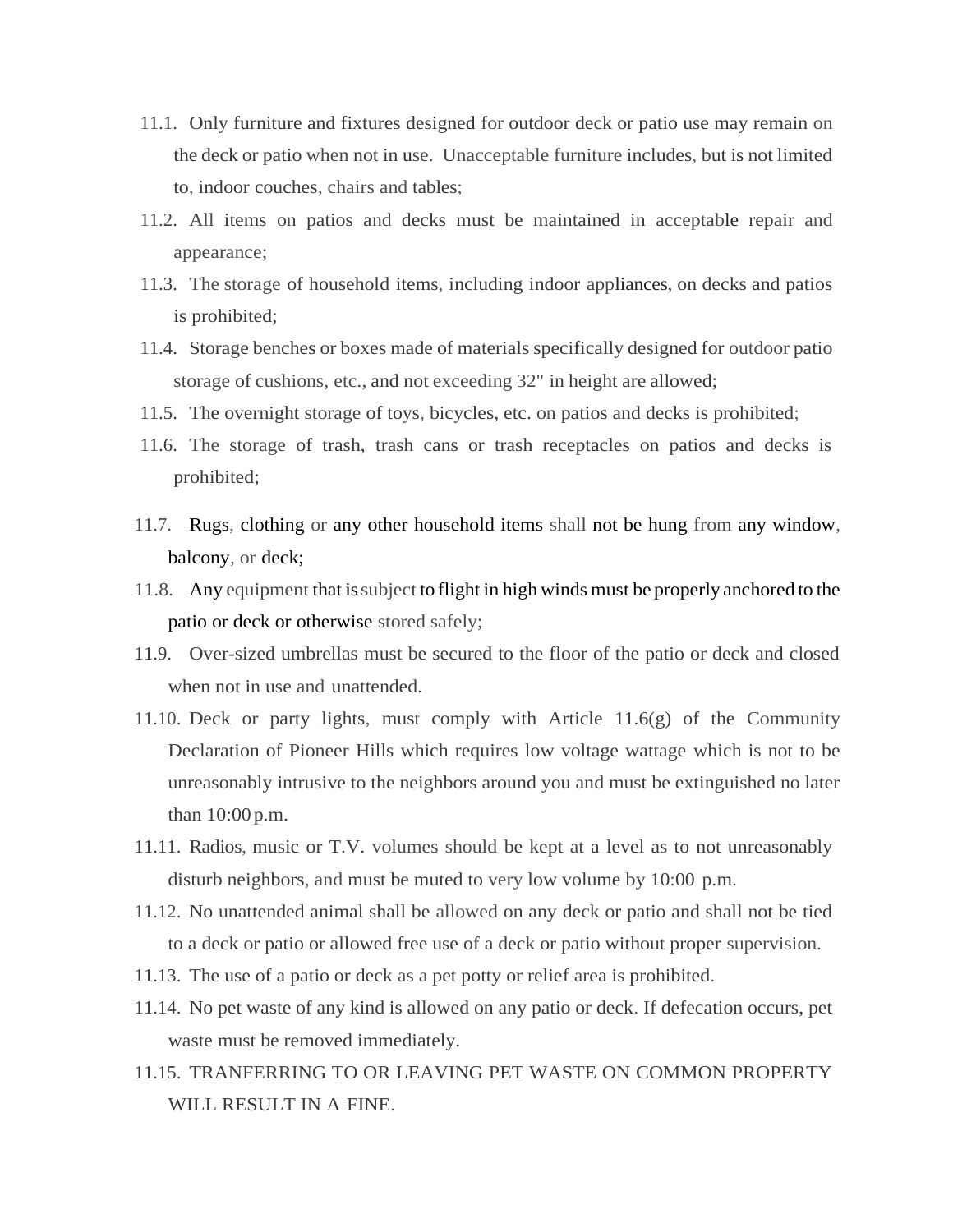- 11.1. Only furniture and fixtures designed for outdoor deck or patio use may remain on the deck or patio when not in use. Unacceptable furniture includes, but is not limited to, indoor couches, chairs and tables;
- 11.2. All items on patios and decks must be maintained in acceptable repair and appearance;
- 11.3. The storage of household items, including indoor appliances, on decks and patios is prohibited;
- 11.4. Storage benches or boxes made of materials specifically designed for outdoor patio storage of cushions, etc., and not exceeding 32" in height are allowed;
- 11.5. The overnight storage of toys, bicycles, etc. on patios and decks is prohibited;
- 11.6. The storage of trash, trash cans or trash receptacles on patios and decks is prohibited;
- 11.7. Rugs, clothing or any other household items shall not be hung from any window, balcony, or deck;
- 11.8. Any equipment that issubject to flight in high winds must be properly anchored to the patio or deck or otherwise stored safely;
- 11.9. Over-sized umbrellas must be secured to the floor of the patio or deck and closed when not in use and unattended.
- 11.10. Deck or party lights, must comply with Article 11.6(g) of the Community Declaration of Pioneer Hills which requires low voltage wattage which is not to be unreasonably intrusive to the neighbors around you and must be extinguished no later than 10:00 p.m.
- 11.11. Radios, music or T.V. volumes should be kept at a level as to not unreasonably disturb neighbors, and must be muted to very low volume by 10:00 p.m.
- 11.12. No unattended animal shall be allowed on any deck or patio and shall not be tied to a deck or patio or allowed free use of a deck or patio without proper supervision.
- 11.13. The use of a patio or deck as a pet potty or relief area is prohibited.
- 11.14. No pet waste of any kind is allowed on any patio or deck. If defecation occurs, pet waste must be removed immediately.
- 11.15. TRANFERRING TO OR LEAVING PET WASTE ON COMMON PROPERTY WILL RESULT IN A FINE.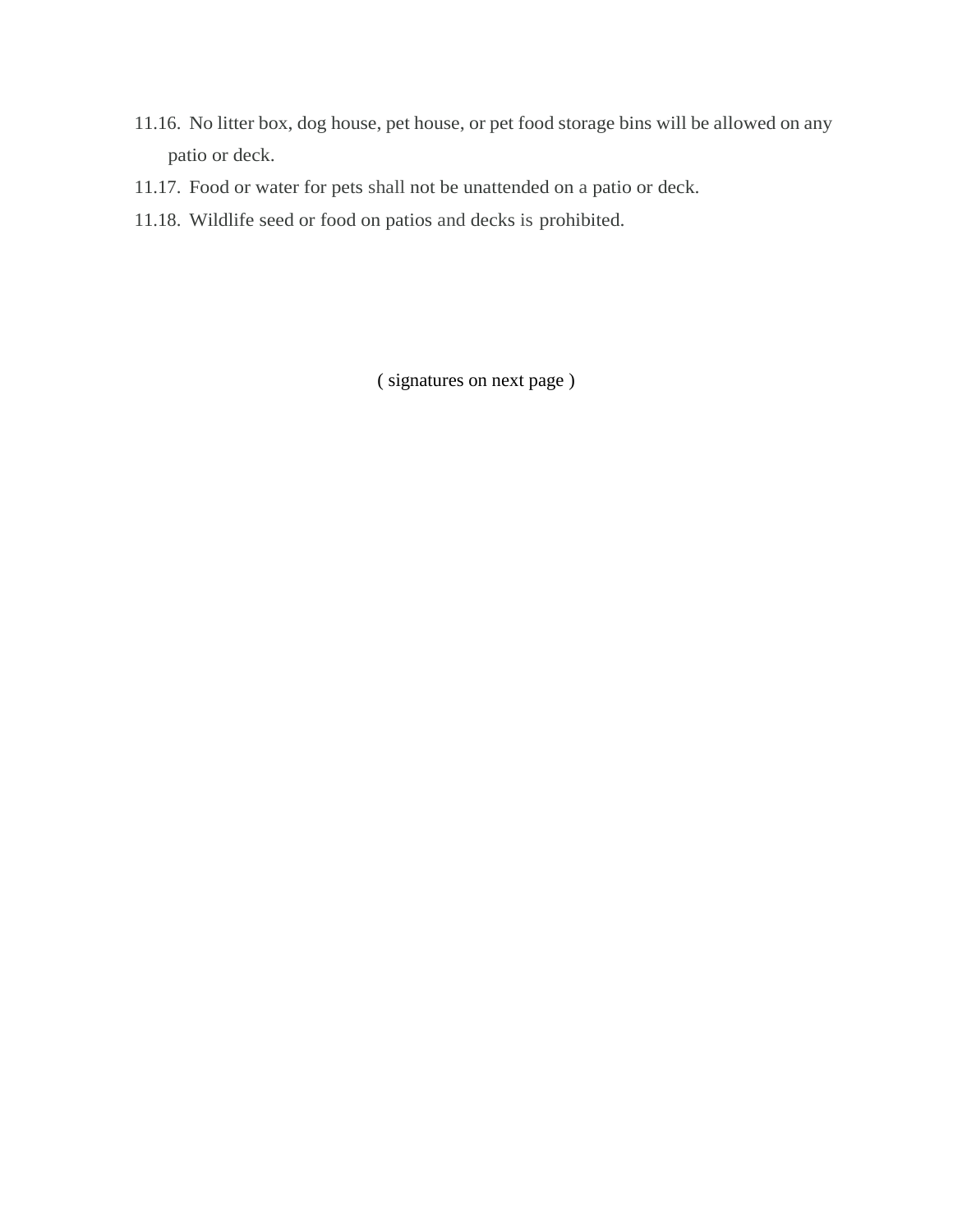- 11.16. No litter box, dog house, pet house, or pet food storage bins will be allowed on any patio or deck.
- 11.17. Food or water for pets shall not be unattended on a patio or deck.
- 11.18. Wildlife seed or food on patios and decks is prohibited.

( signatures on next page )